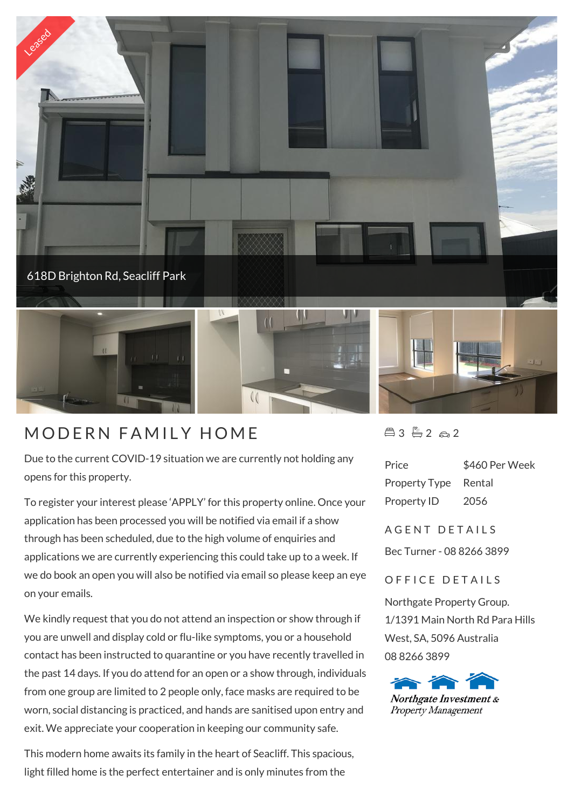

Due to the current COVID-19 situation we are currently not holding any opens for this property.

To register your interest please 'APPLY' for this property online. Once your application has been processed you will be notified via email if a show through has been scheduled, due to the high volume of enquiries and applications we are currently experiencing this could take up to a week. If we do book an open you will also be notified via email so please keep an eye on your emails.

We kindly request that you do not attend an inspection or show through if you are unwell and display cold or flu-like symptoms, you or a household contact has been instructed to quarantine or you have recently travelled in the past 14 days. If you do attend for an open or a show through, individuals from one group are limited to 2 people only, face masks are required to be worn, social distancing is practiced, and hands are sanitised upon entry and exit. We appreciate your cooperation in keeping our community safe.

This modern home awaits its family in the heart of Seacliff. This spacious, light filled home is the perfect entertainer and is only minutes from the

 $43 - 2 2 2$ 

| Price         | \$460 Per Week |
|---------------|----------------|
| Property Type | Rental         |
| Property ID   | 2056           |

A G F N T D F T A I I S

Bec Turner - 08 8266 3899

## OFFICE DETAILS

Northgate Property Group. 1/1391 Main North Rd Para Hills West, SA, 5096 Australia 08 8266 3899